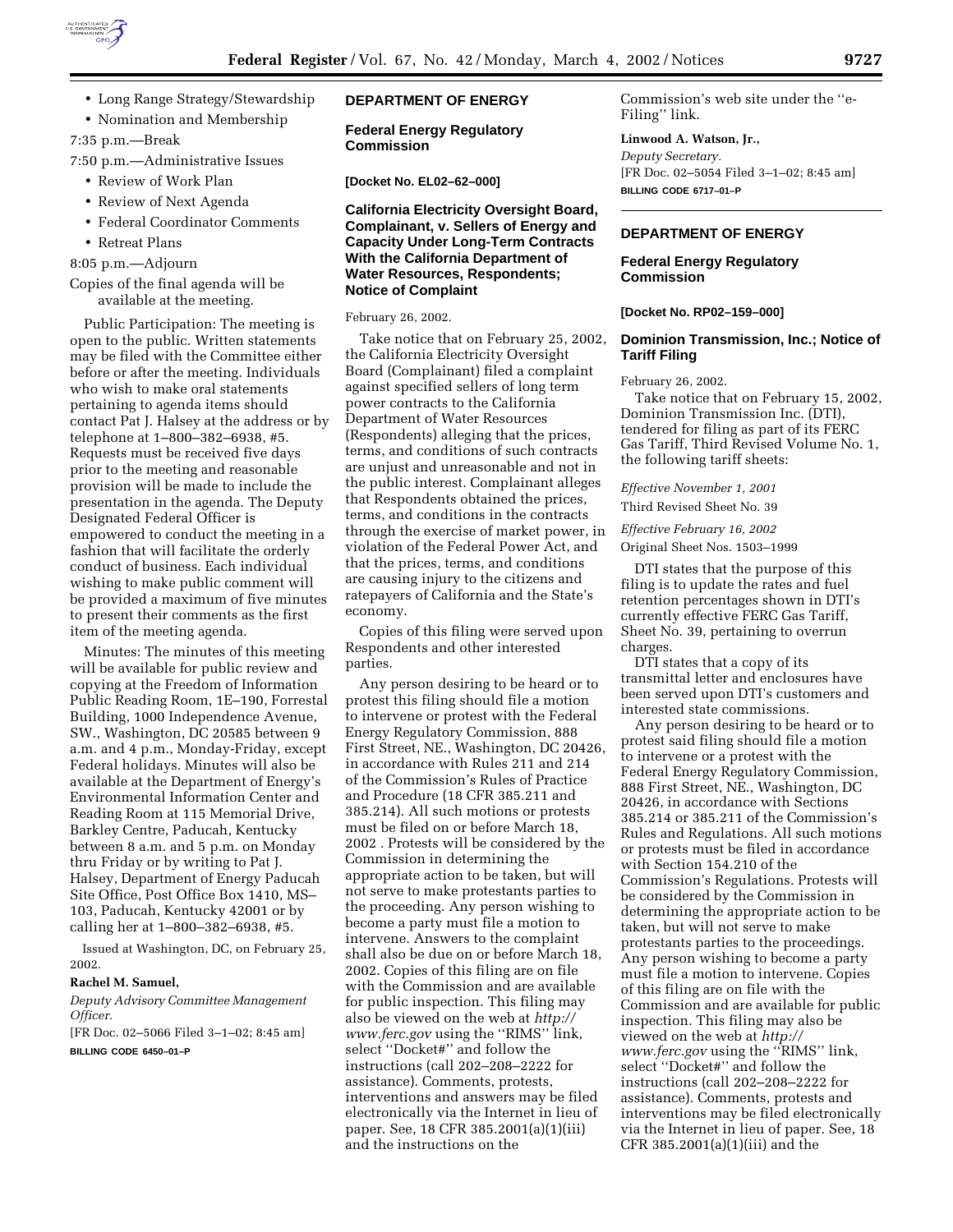

• Long Range Strategy/Stewardship

• Nomination and Membership

7:35 p.m.—Break

7:50 p.m.—Administrative Issues

- Review of Work Plan
- Review of Next Agenda
- Federal Coordinator Comments
- Retreat Plans

8:05 p.m.—Adjourn

## Copies of the final agenda will be available at the meeting.

Public Participation: The meeting is open to the public. Written statements may be filed with the Committee either before or after the meeting. Individuals who wish to make oral statements pertaining to agenda items should contact Pat J. Halsey at the address or by telephone at 1–800–382–6938, #5. Requests must be received five days prior to the meeting and reasonable provision will be made to include the presentation in the agenda. The Deputy Designated Federal Officer is empowered to conduct the meeting in a fashion that will facilitate the orderly conduct of business. Each individual wishing to make public comment will be provided a maximum of five minutes to present their comments as the first item of the meeting agenda.

Minutes: The minutes of this meeting will be available for public review and copying at the Freedom of Information Public Reading Room, 1E–190, Forrestal Building, 1000 Independence Avenue, SW., Washington, DC 20585 between 9 a.m. and 4 p.m., Monday-Friday, except Federal holidays. Minutes will also be available at the Department of Energy's Environmental Information Center and Reading Room at 115 Memorial Drive, Barkley Centre, Paducah, Kentucky between 8 a.m. and 5 p.m. on Monday thru Friday or by writing to Pat J. Halsey, Department of Energy Paducah Site Office, Post Office Box 1410, MS– 103, Paducah, Kentucky 42001 or by calling her at 1–800–382–6938, #5.

Issued at Washington, DC, on February 25, 2002.

#### **Rachel M. Samuel,**

*Deputy Advisory Committee Management Officer.*

[FR Doc. 02–5066 Filed 3–1–02; 8:45 am] **BILLING CODE 6450–01–P**

#### **DEPARTMENT OF ENERGY**

**Federal Energy Regulatory Commission**

**[Docket No. EL02–62–000]**

## **California Electricity Oversight Board, Complainant, v. Sellers of Energy and Capacity Under Long-Term Contracts With the California Department of Water Resources, Respondents; Notice of Complaint**

February 26, 2002.

Take notice that on February 25, 2002, the California Electricity Oversight Board (Complainant) filed a complaint against specified sellers of long term power contracts to the California Department of Water Resources (Respondents) alleging that the prices, terms, and conditions of such contracts are unjust and unreasonable and not in the public interest. Complainant alleges that Respondents obtained the prices, terms, and conditions in the contracts through the exercise of market power, in violation of the Federal Power Act, and that the prices, terms, and conditions are causing injury to the citizens and ratepayers of California and the State's economy.

Copies of this filing were served upon Respondents and other interested parties.

Any person desiring to be heard or to protest this filing should file a motion to intervene or protest with the Federal Energy Regulatory Commission, 888 First Street, NE., Washington, DC 20426, in accordance with Rules 211 and 214 of the Commission's Rules of Practice and Procedure (18 CFR 385.211 and 385.214). All such motions or protests must be filed on or before March 18, 2002 . Protests will be considered by the Commission in determining the appropriate action to be taken, but will not serve to make protestants parties to the proceeding. Any person wishing to become a party must file a motion to intervene. Answers to the complaint shall also be due on or before March 18, 2002. Copies of this filing are on file with the Commission and are available for public inspection. This filing may also be viewed on the web at *http:// www.ferc.gov* using the ''RIMS'' link, select ''Docket#'' and follow the instructions (call 202–208–2222 for assistance). Comments, protests, interventions and answers may be filed electronically via the Internet in lieu of paper. See, 18 CFR 385.2001(a)(1)(iii) and the instructions on the

Commission's web site under the ''e-Filing'' link.

# **Linwood A. Watson, Jr.,**

*Deputy Secretary.* [FR Doc. 02–5054 Filed 3–1–02; 8:45 am] **BILLING CODE 6717–01–P**

## **DEPARTMENT OF ENERGY**

#### **Federal Energy Regulatory Commission**

**[Docket No. RP02–159–000]**

#### **Dominion Transmission, Inc.; Notice of Tariff Filing**

February 26, 2002.

Take notice that on February 15, 2002, Dominion Transmission Inc. (DTI), tendered for filing as part of its FERC Gas Tariff, Third Revised Volume No. 1, the following tariff sheets:

*Effective November 1, 2001*

Third Revised Sheet No. 39

*Effective February 16, 2002*

Original Sheet Nos. 1503–1999

DTI states that the purpose of this filing is to update the rates and fuel retention percentages shown in DTI's currently effective FERC Gas Tariff, Sheet No. 39, pertaining to overrun charges.

DTI states that a copy of its transmittal letter and enclosures have been served upon DTI's customers and interested state commissions.

Any person desiring to be heard or to protest said filing should file a motion to intervene or a protest with the Federal Energy Regulatory Commission, 888 First Street, NE., Washington, DC 20426, in accordance with Sections 385.214 or 385.211 of the Commission's Rules and Regulations. All such motions or protests must be filed in accordance with Section 154.210 of the Commission's Regulations. Protests will be considered by the Commission in determining the appropriate action to be taken, but will not serve to make protestants parties to the proceedings. Any person wishing to become a party must file a motion to intervene. Copies of this filing are on file with the Commission and are available for public inspection. This filing may also be viewed on the web at *http:// www.ferc.gov* using the ''RIMS'' link, select ''Docket#'' and follow the instructions (call 202–208–2222 for assistance). Comments, protests and interventions may be filed electronically via the Internet in lieu of paper. See, 18 CFR 385.2001(a)(1)(iii) and the